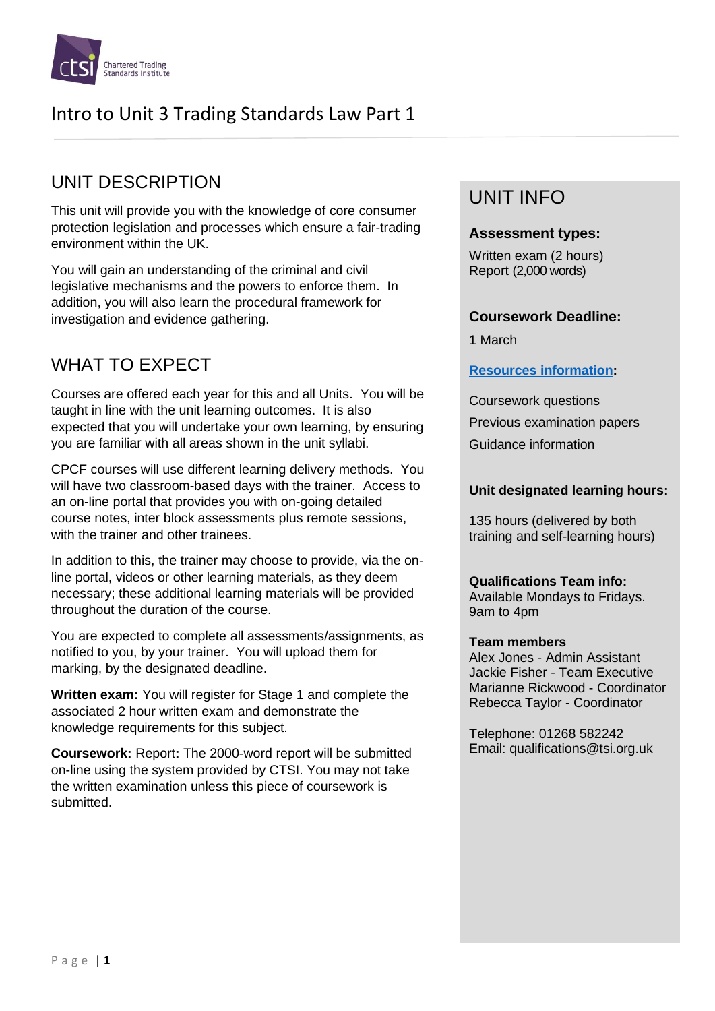

## UNIT DESCRIPTION

This unit will provide you with the knowledge of core consumer protection legislation and processes which ensure a fair-trading environment within the UK.

You will gain an understanding of the criminal and civil legislative mechanisms and the powers to enforce them. In addition, you will also learn the procedural framework for investigation and evidence gathering.

## WHAT TO EXPECT

Courses are offered each year for this and all Units. You will be taught in line with the unit learning outcomes. It is also expected that you will undertake your own learning, by ensuring you are familiar with all areas shown in the unit syllabi.

CPCF courses will use different learning delivery methods. You will have two classroom-based days with the trainer. Access to an on-line portal that provides you with on-going detailed course notes, inter block assessments plus remote sessions, with the trainer and other trainees.

In addition to this, the trainer may choose to provide, via the online portal, videos or other learning materials, as they deem necessary; these additional learning materials will be provided throughout the duration of the course.

You are expected to complete all assessments/assignments, as notified to you, by your trainer. You will upload them for marking, by the designated deadline.

**Written exam:** You will register for Stage 1 and complete the associated 2 hour written exam and demonstrate the knowledge requirements for this subject.

**Coursework:** Report**:** The 2000-word report will be submitted on-line using the system provided by CTSI. You may not take the written examination unless this piece of coursework is submitted.

## UNIT INFO

#### **Assessment types:**

Written exam (2 hours) Report (2,000 words)

#### **Coursework Deadline:**

1 March

#### **[Resources information:](https://www.tradingstandards.uk/practitioners/training-development/qualifications-resources)**

Coursework questions Previous examination papers Guidance information

#### **Unit designated learning hours:**

135 hours (delivered by both training and self-learning hours)

#### **Qualifications Team info:** Available Mondays to Fridays. 9am to 4pm

#### **Team members**

Alex Jones - Admin Assistant Jackie Fisher - Team Executive Marianne Rickwood - Coordinator Rebecca Taylor - Coordinator

Telephone: 01268 582242 Email: qualifications@tsi.org.uk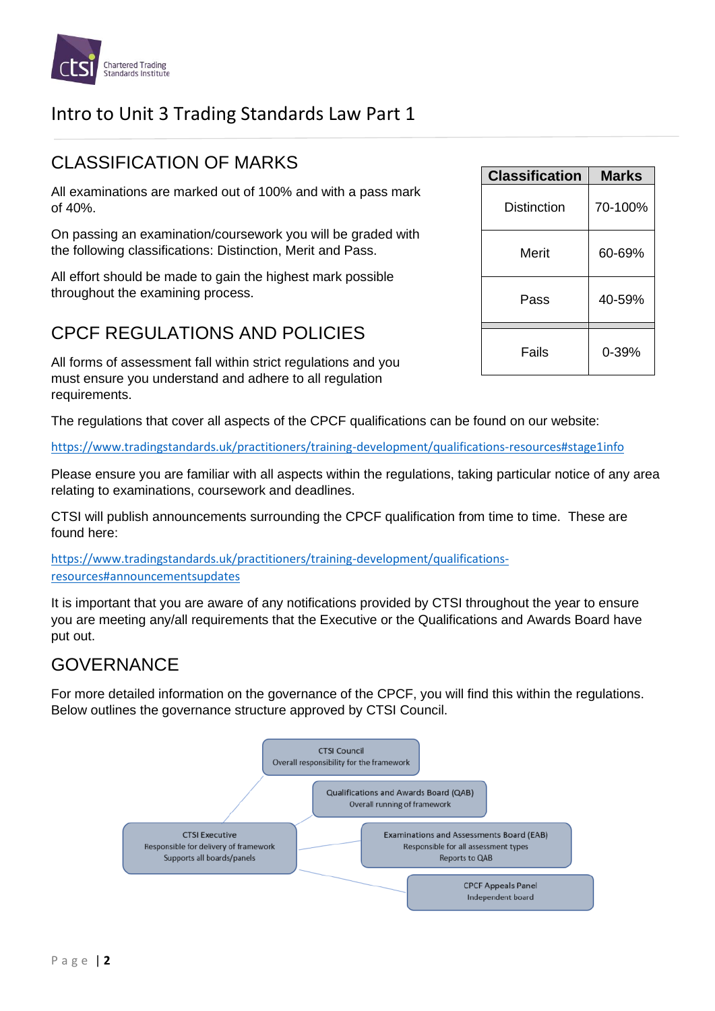

## CLASSIFICATION OF MARKS

All examinations are marked out of 100% and with a pass mark of 40%.

On passing an examination/coursework you will be graded with the following classifications: Distinction, Merit and Pass.

All effort should be made to gain the highest mark possible throughout the examining process.

## CPCF REGULATIONS AND POLICIES

All forms of assessment fall within strict regulations and you must ensure you understand and adhere to all regulation requirements.

The regulations that cover all aspects of the CPCF qualifications can be found on our website:

<https://www.tradingstandards.uk/practitioners/training-development/qualifications-resources#stage1info>

Please ensure you are familiar with all aspects within the regulations, taking particular notice of any area relating to examinations, coursework and deadlines.

CTSI will publish announcements surrounding the CPCF qualification from time to time. These are found here:

[https://www.tradingstandards.uk/practitioners/training-development/qualifications](https://www.tradingstandards.uk/practitioners/training-development/qualifications-resources#announcementsupdates)[resources#announcementsupdates](https://www.tradingstandards.uk/practitioners/training-development/qualifications-resources#announcementsupdates)

It is important that you are aware of any notifications provided by CTSI throughout the year to ensure you are meeting any/all requirements that the Executive or the Qualifications and Awards Board have put out.

## GOVERNANCE

For more detailed information on the governance of the CPCF, you will find this within the regulations. Below outlines the governance structure approved by CTSI Council.



| <b>Classification</b> | Marks   |
|-----------------------|---------|
| Distinction           | 70-100% |
| Merit                 | 60-69%  |
| Pass                  | 40-59%  |
| Fails                 | 0-39%   |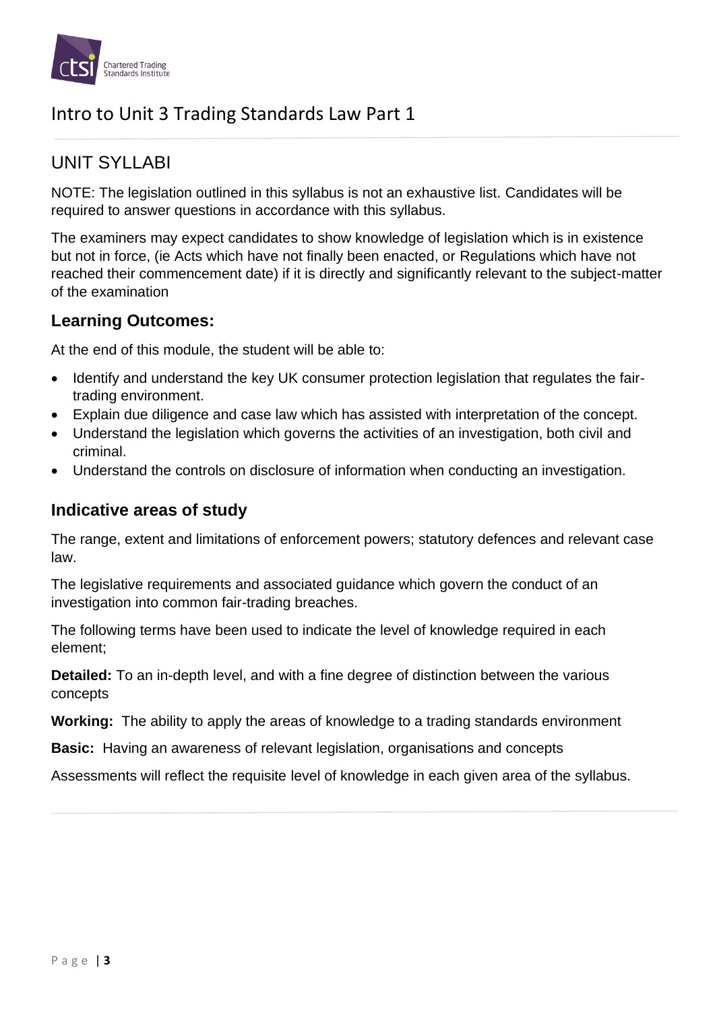

## UNIT SYLLABI

NOTE: The legislation outlined in this syllabus is not an exhaustive list. Candidates will be required to answer questions in accordance with this syllabus.

The examiners may expect candidates to show knowledge of legislation which is in existence but not in force, (ie Acts which have not finally been enacted, or Regulations which have not reached their commencement date) if it is directly and significantly relevant to the subject-matter of the examination

### **Learning Outcomes:**

At the end of this module, the student will be able to:

- Identify and understand the key UK consumer protection legislation that regulates the fairtrading environment.
- Explain due diligence and case law which has assisted with interpretation of the concept.
- Understand the legislation which governs the activities of an investigation, both civil and criminal.
- Understand the controls on disclosure of information when conducting an investigation.

### **Indicative areas of study**

The range, extent and limitations of enforcement powers; statutory defences and relevant case law.

The legislative requirements and associated guidance which govern the conduct of an investigation into common fair-trading breaches.

The following terms have been used to indicate the level of knowledge required in each element;

**Detailed:** To an in-depth level, and with a fine degree of distinction between the various concepts

**Working:** The ability to apply the areas of knowledge to a trading standards environment

**Basic:** Having an awareness of relevant legislation, organisations and concepts

Assessments will reflect the requisite level of knowledge in each given area of the syllabus.